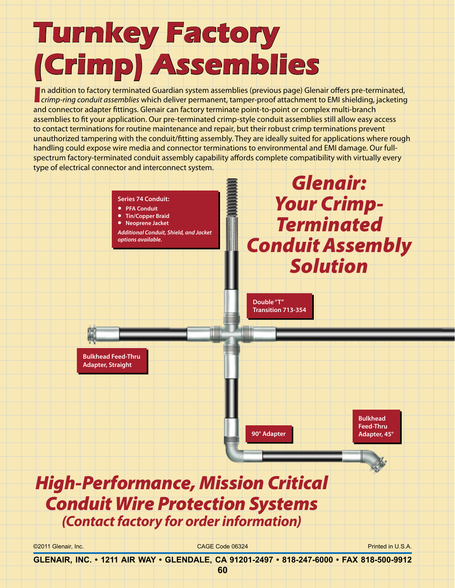## **Turnkey Factory (Crimp) Assemblies**

**I**n addition to factory terminated Guardian system assemblies (previous page) Glenair offers pre-terminated, crimp-ring conduit assemblies which deliver permanent, tamper-proof attachment to EMI shielding, jacketing n addition to factory terminated Guardian system assemblies (previous page) Glenair offers pre-terminated, and connector adapter fittings. Glenair can factory terminate point-to-point or complex multi-branch assemblies to fit your application. Our pre-terminated crimp-style conduit assemblies still allow easy access to contact terminations for routine maintenance and repair, but their robust crimp terminations prevent unauthorized tampering with the conduit/fitting assembly. They are ideally suited for applications where rough handling could expose wire media and connector terminations to environmental and EMI damage. Our fullspectrum factory-terminated conduit assembly capability affords complete compatibility with virtually every type of electrical connector and interconnect system.



©2011 Glenair, Inc. CAGE Code 06324 Printed in U.S.A.

**GLENAIR, INC. • 1211 AIR WAY • GLENDALE, CA 91201-2497 • 818-247-6000 • FAX 818-500-9912**